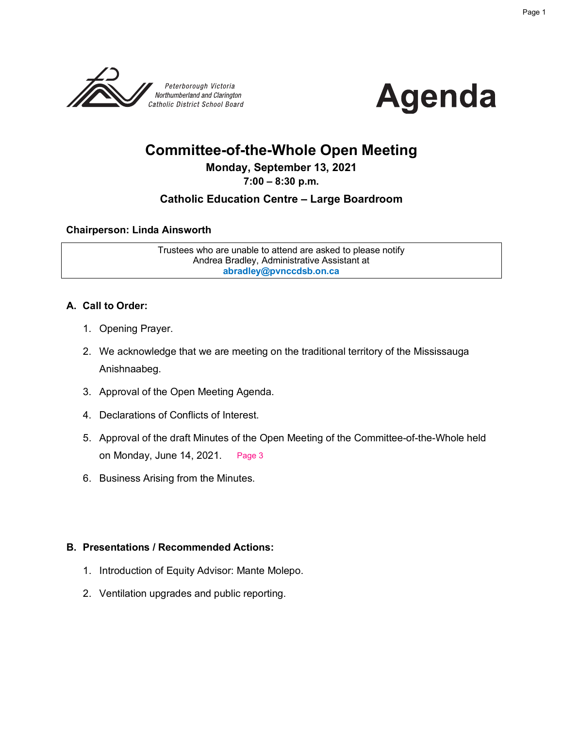



# **Committee-of-the-Whole Open Meeting**

# **Monday, September 13, 2021**

#### **7:00 – 8:30 p.m.**

# **Catholic Education Centre – Large Boardroom**

#### **Chairperson: Linda Ainsworth**

Trustees who are unable to attend are asked to please notify Andrea Bradley, Administrative Assistant at **abradley@pvnccdsb.on.ca**

#### **A. Call to Order:**

- 1. Opening Prayer.
- 2. We acknowledge that we are meeting on the traditional territory of the Mississauga Anishnaabeg.
- 3. Approval of the Open Meeting Agenda.
- 4. Declarations of Conflicts of Interest.
- 5. Approval of the draft Minutes of the Open Meeting of the Committee-of-the-Whole held on Monday, June 14, 2021. Page 3
- 6. Business Arising from the Minutes.

#### **B. Presentations / Recommended Actions:**

- 1. Introduction of Equity Advisor: Mante Molepo.
- 2. Ventilation upgrades and public reporting.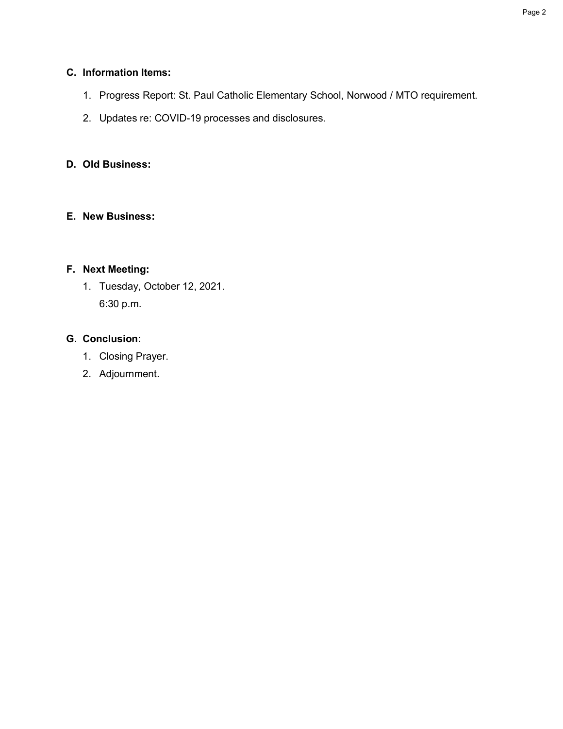## **C. Information Items:**

- 1. Progress Report: St. Paul Catholic Elementary School, Norwood / MTO requirement.
- 2. Updates re: COVID-19 processes and disclosures.

# **D. Old Business:**

## **E. New Business:**

# **F. Next Meeting:**

1. Tuesday, October 12, 2021. 6:30 p.m.

# **G. Conclusion:**

- 1. Closing Prayer.
- 2. Adjournment.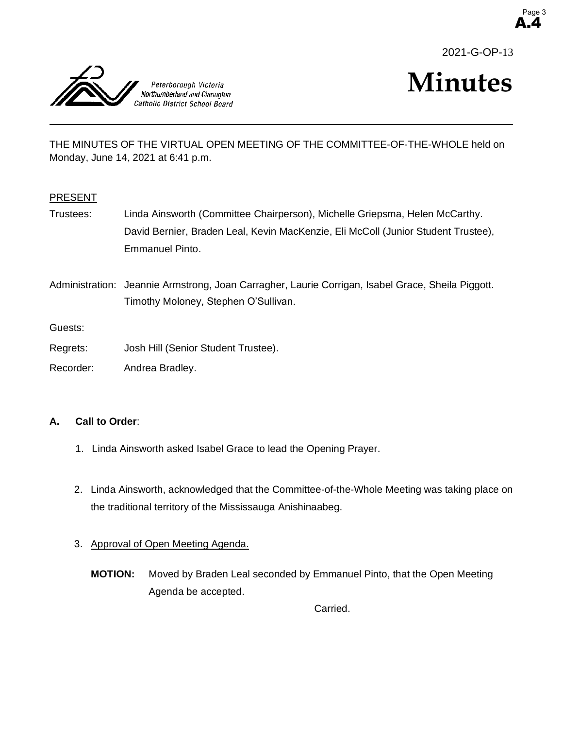

A.4 Page 3



# **Minutes**

THE MINUTES OF THE VIRTUAL OPEN MEETING OF THE COMMITTEE-OF-THE-WHOLE held on Monday, June 14, 2021 at 6:41 p.m.

#### PRESENT

Trustees: Linda Ainsworth (Committee Chairperson), Michelle Griepsma, Helen McCarthy. David Bernier, Braden Leal, Kevin MacKenzie, Eli McColl (Junior Student Trustee), Emmanuel Pinto.

Administration: Jeannie Armstrong, Joan Carragher, Laurie Corrigan, Isabel Grace, Sheila Piggott. Timothy Moloney, Stephen O'Sullivan.

Guests:

- Regrets: Josh Hill (Senior Student Trustee).
- Recorder: Andrea Bradley.

#### **A. Call to Order**:

- 1. Linda Ainsworth asked Isabel Grace to lead the Opening Prayer.
- 2. Linda Ainsworth, acknowledged that the Committee-of-the-Whole Meeting was taking place on the traditional territory of the Mississauga Anishinaabeg.
- 3. Approval of Open Meeting Agenda.
	- **MOTION:** Moved by Braden Leal seconded by Emmanuel Pinto, that the Open Meeting Agenda be accepted.

Carried.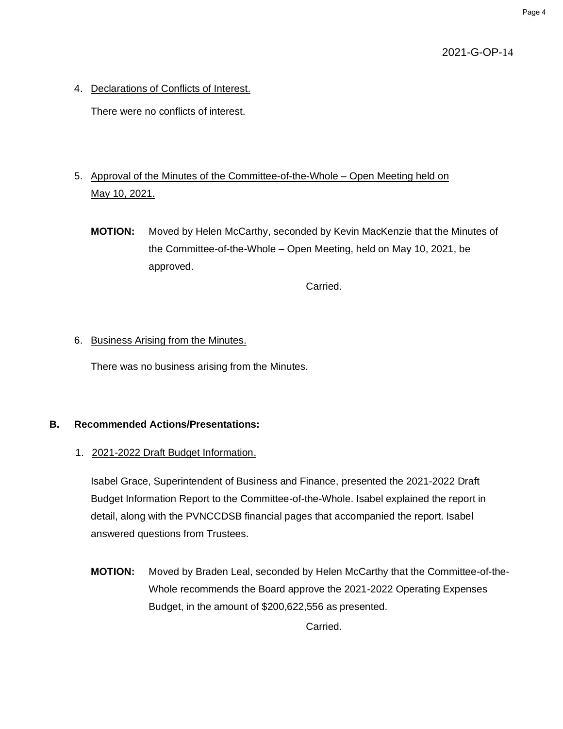2021-G-OP-14

4. Declarations of Conflicts of Interest.

There were no conflicts of interest.

# 5. Approval of the Minutes of the Committee-of-the-Whole – Open Meeting held on May 10, 2021.

**MOTION:** Moved by Helen McCarthy, seconded by Kevin MacKenzie that the Minutes of the Committee-of-the-Whole – Open Meeting, held on May 10, 2021, be approved.

Carried.

#### 6. Business Arising from the Minutes.

There was no business arising from the Minutes.

## **B. Recommended Actions/Presentations:**

1. 2021-2022 Draft Budget Information.

Isabel Grace, Superintendent of Business and Finance, presented the 2021-2022 Draft Budget Information Report to the Committee-of-the-Whole. Isabel explained the report in detail, along with the PVNCCDSB financial pages that accompanied the report. Isabel answered questions from Trustees.

**MOTION:** Moved by Braden Leal, seconded by Helen McCarthy that the Committee-of-the-Whole recommends the Board approve the 2021-2022 Operating Expenses Budget, in the amount of \$200,622,556 as presented.

Carried.